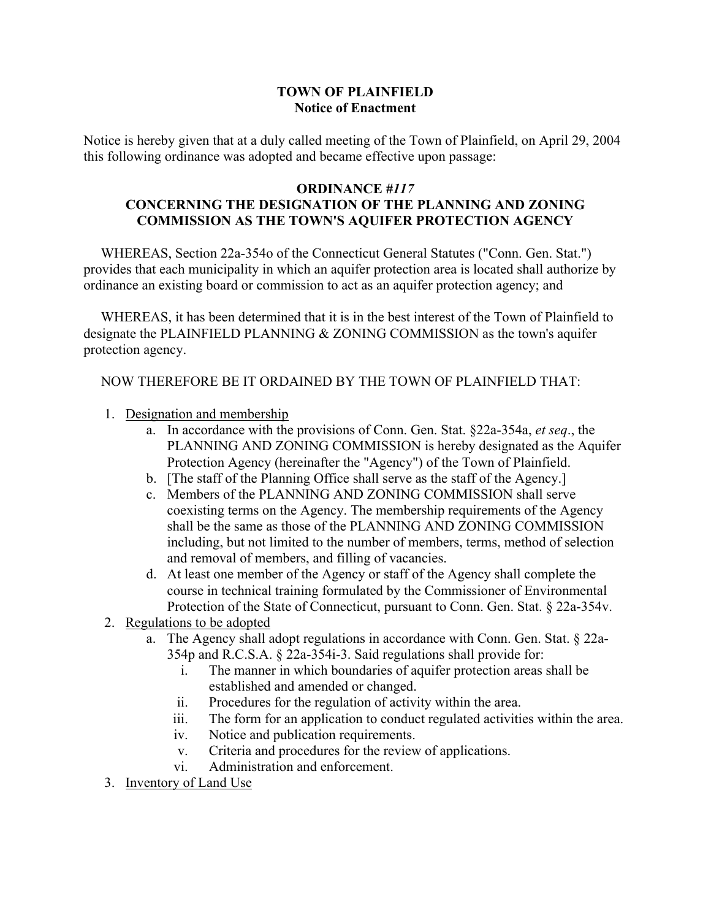## **TOWN OF PLAINFIELD Notice of Enactment**

Notice is hereby given that at a duly called meeting of the Town of Plainfield, on April 29, 2004 this following ordinance was adopted and became effective upon passage:

## **ORDINANCE** *#117* **CONCERNING THE DESIGNATION OF THE PLANNING AND ZONING COMMISSION AS THE TOWN'S AQUIFER PROTECTION AGENCY**

 WHEREAS, Section 22a-354o of the Connecticut General Statutes ("Conn. Gen. Stat.") provides that each municipality in which an aquifer protection area is located shall authorize by ordinance an existing board or commission to act as an aquifer protection agency; and

 WHEREAS, it has been determined that it is in the best interest of the Town of Plainfield to designate the PLAINFIELD PLANNING & ZONING COMMISSION as the town's aquifer protection agency.

## NOW THEREFORE BE IT ORDAINED BY THE TOWN OF PLAINFIELD THAT:

- 1. Designation and membership
	- a. In accordance with the provisions of Conn. Gen. Stat. §22a-354a, *et seq*., the PLANNING AND ZONING COMMISSION is hereby designated as the Aquifer Protection Agency (hereinafter the "Agency") of the Town of Plainfield.
	- b. [The staff of the Planning Office shall serve as the staff of the Agency.]
	- c. Members of the PLANNING AND ZONING COMMISSION shall serve coexisting terms on the Agency. The membership requirements of the Agency shall be the same as those of the PLANNING AND ZONING COMMISSION including, but not limited to the number of members, terms, method of selection and removal of members, and filling of vacancies.
	- d. At least one member of the Agency or staff of the Agency shall complete the course in technical training formulated by the Commissioner of Environmental Protection of the State of Connecticut, pursuant to Conn. Gen. Stat. § 22a-354v.
- 2. Regulations to be adopted
	- a. The Agency shall adopt regulations in accordance with Conn. Gen. Stat. § 22a-354p and R.C.S.A. § 22a-354i-3. Said regulations shall provide for:
		- i. The manner in which boundaries of aquifer protection areas shall be established and amended or changed.
		- ii. Procedures for the regulation of activity within the area.
		- iii. The form for an application to conduct regulated activities within the area.
		- iv. Notice and publication requirements.
		- v. Criteria and procedures for the review of applications.
		- vi. Administration and enforcement.
- 3. Inventory of Land Use